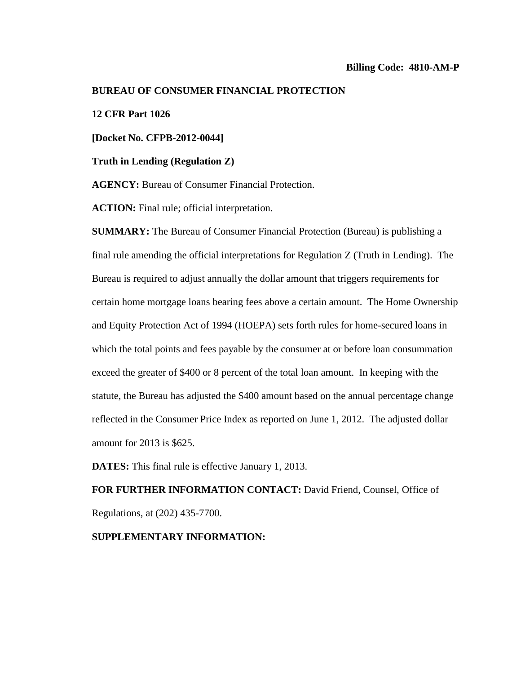#### **BUREAU OF CONSUMER FINANCIAL PROTECTION**

## **12 CFR Part 1026**

**[Docket No. CFPB-2012-0044]**

**Truth in Lending (Regulation Z)**

**AGENCY:** Bureau of Consumer Financial Protection.

**ACTION:** Final rule; official interpretation.

**SUMMARY:** The Bureau of Consumer Financial Protection (Bureau) is publishing a final rule amending the official interpretations for Regulation Z (Truth in Lending). The Bureau is required to adjust annually the dollar amount that triggers requirements for certain home mortgage loans bearing fees above a certain amount. The Home Ownership and Equity Protection Act of 1994 (HOEPA) sets forth rules for home-secured loans in which the total points and fees payable by the consumer at or before loan consummation exceed the greater of \$400 or 8 percent of the total loan amount. In keeping with the statute, the Bureau has adjusted the \$400 amount based on the annual percentage change reflected in the Consumer Price Index as reported on June 1, 2012. The adjusted dollar amount for 2013 is \$625.

**DATES:** This final rule is effective January 1, 2013.

**FOR FURTHER INFORMATION CONTACT:** David Friend, Counsel, Office of Regulations, at (202) 435-7700.

### <span id="page-0-0"></span>**SUPPLEMENTARY INFORMATION:**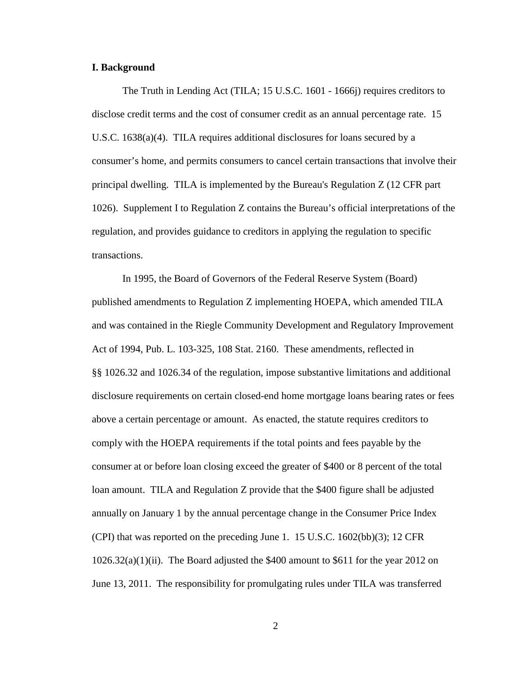#### **I. Background**

The Truth in Lending Act (TILA; 15 U.S.C. 1601 - 1666j) requires creditors to disclose credit terms and the cost of consumer credit as an annual percentage rate. 15 U.S.C. 1638(a)(4). TILA requires additional disclosures for loans secured by a consumer's home, and permits consumers to cancel certain transactions that involve their principal dwelling. TILA is implemented by the Bureau's Regulation Z (12 CFR part 1026). Supplement I to Regulation Z contains the Bureau's official interpretations of the regulation, and provides guidance to creditors in applying the regulation to specific transactions.

In 1995, the Board of Governors of the Federal Reserve System (Board) published amendments to Regulation Z implementing HOEPA, which amended TILA and was contained in the Riegle Community Development and Regulatory Improvement Act of 1994, Pub. L. 103-325, 108 Stat. 2160. These amendments, reflected in §§ 1026.32 and 1026.34 of the regulation, impose substantive limitations and additional disclosure requirements on certain closed-end home mortgage loans bearing rates or fees above a certain percentage or amount. As enacted, the statute requires creditors to comply with the HOEPA requirements if the total points and fees payable by the consumer at or before loan closing exceed the greater of \$400 or 8 percent of the total loan amount. TILA and Regulation Z provide that the \$400 figure shall be adjusted annually on January 1 by the annual percentage change in the Consumer Price Index (CPI) that was reported on the preceding June 1. 15 U.S.C.  $1602(bb)(3)$ ; 12 CFR 1026.32(a)(1)(ii). The Board adjusted the \$400 amount to \$611 for the year 2012 on June 13, 2011. The responsibility for promulgating rules under TILA was transferred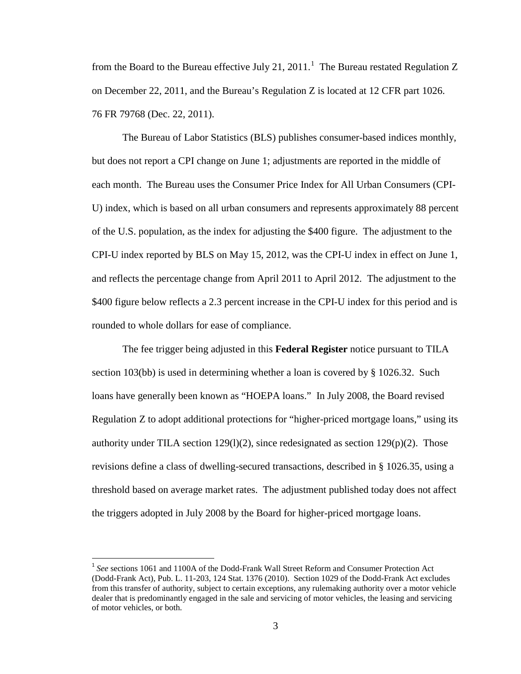from the Board to the Bureau effective July 2[1](#page-0-0), 2011.<sup>1</sup> The Bureau restated Regulation Z on December 22, 2011, and the Bureau's Regulation Z is located at 12 CFR part 1026. 76 FR 79768 (Dec. 22, 2011).

The Bureau of Labor Statistics (BLS) publishes consumer-based indices monthly, but does not report a CPI change on June 1; adjustments are reported in the middle of each month. The Bureau uses the Consumer Price Index for All Urban Consumers (CPI-U) index, which is based on all urban consumers and represents approximately 88 percent of the U.S. population, as the index for adjusting the \$400 figure. The adjustment to the CPI-U index reported by BLS on May 15, 2012, was the CPI-U index in effect on June 1, and reflects the percentage change from April 2011 to April 2012. The adjustment to the \$400 figure below reflects a 2.3 percent increase in the CPI-U index for this period and is rounded to whole dollars for ease of compliance.

The fee trigger being adjusted in this **Federal Register** notice pursuant to TILA section 103(bb) is used in determining whether a loan is covered by § 1026.32. Such loans have generally been known as "HOEPA loans." In July 2008, the Board revised Regulation Z to adopt additional protections for "higher-priced mortgage loans," using its authority under TILA section 129(1)(2), since redesignated as section 129(p)(2). Those revisions define a class of dwelling-secured transactions, described in § 1026.35, using a threshold based on average market rates. The adjustment published today does not affect the triggers adopted in July 2008 by the Board for higher-priced mortgage loans.

<sup>1</sup> *See* sections 1061 and 1100A of the Dodd-Frank Wall Street Reform and Consumer Protection Act (Dodd-Frank Act), Pub. L. 11-203, 124 Stat. 1376 (2010). Section 1029 of the Dodd-Frank Act excludes from this transfer of authority, subject to certain exceptions, any rulemaking authority over a motor vehicle dealer that is predominantly engaged in the sale and servicing of motor vehicles, the leasing and servicing of motor vehicles, or both.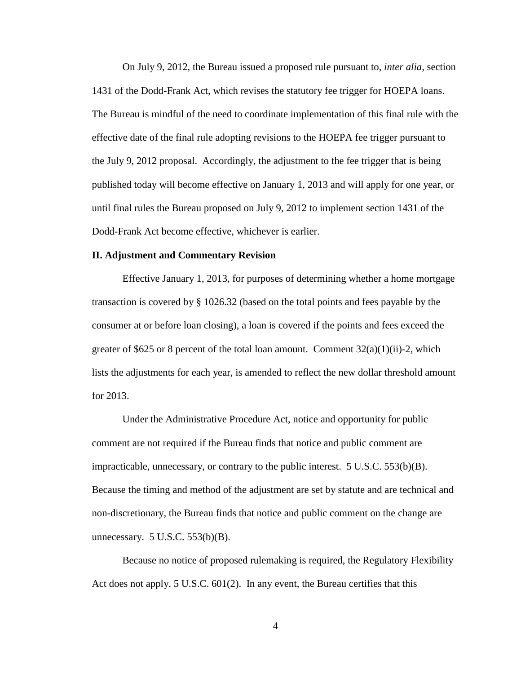On July 9, 2012, the Bureau issued a proposed rule pursuant to, *inter alia,* section 1431 of the Dodd-Frank Act, which revises the statutory fee trigger for HOEPA loans. The Bureau is mindful of the need to coordinate implementation of this final rule with the effective date of the final rule adopting revisions to the HOEPA fee trigger pursuant to the July 9, 2012 proposal. Accordingly, the adjustment to the fee trigger that is being published today will become effective on January 1, 2013 and will apply for one year, or until final rules the Bureau proposed on July 9, 2012 to implement section 1431 of the Dodd-Frank Act become effective, whichever is earlier.

### **II. Adjustment and Commentary Revision**

Effective January 1, 2013, for purposes of determining whether a home mortgage transaction is covered by § 1026.32 (based on the total points and fees payable by the consumer at or before loan closing), a loan is covered if the points and fees exceed the greater of \$625 or 8 percent of the total loan amount. Comment  $32(a)(1)(ii)-2$ , which lists the adjustments for each year, is amended to reflect the new dollar threshold amount for 2013.

Under the Administrative Procedure Act, notice and opportunity for public comment are not required if the Bureau finds that notice and public comment are impracticable, unnecessary, or contrary to the public interest.  $5 \text{ U.S.C. } 533(b)(B)$ . Because the timing and method of the adjustment are set by statute and are technical and non-discretionary, the Bureau finds that notice and public comment on the change are unnecessary.  $5$  U.S.C.  $553(b)(B)$ .

Because no notice of proposed rulemaking is required, the Regulatory Flexibility Act does not apply. 5 U.S.C. 601(2). In any event, the Bureau certifies that this

4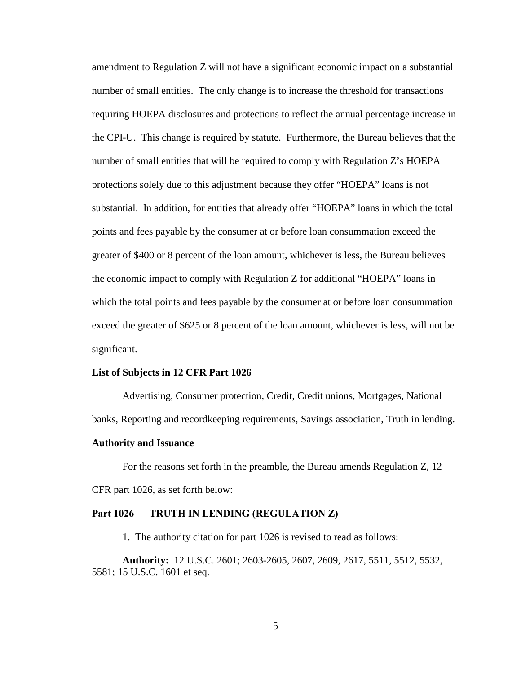amendment to Regulation Z will not have a significant economic impact on a substantial number of small entities. The only change is to increase the threshold for transactions requiring HOEPA disclosures and protections to reflect the annual percentage increase in the CPI-U. This change is required by statute. Furthermore, the Bureau believes that the number of small entities that will be required to comply with Regulation Z's HOEPA protections solely due to this adjustment because they offer "HOEPA" loans is not substantial. In addition, for entities that already offer "HOEPA" loans in which the total points and fees payable by the consumer at or before loan consummation exceed the greater of \$400 or 8 percent of the loan amount, whichever is less, the Bureau believes the economic impact to comply with Regulation Z for additional "HOEPA" loans in which the total points and fees payable by the consumer at or before loan consummation exceed the greater of \$625 or 8 percent of the loan amount, whichever is less, will not be significant.

#### **List of Subjects in 12 CFR Part 1026**

Advertising, Consumer protection, Credit, Credit unions, Mortgages, National banks, Reporting and recordkeeping requirements, Savings association, Truth in lending.

#### **Authority and Issuance**

For the reasons set forth in the preamble, the Bureau amends Regulation Z, 12 CFR part 1026, as set forth below:

#### **Part 1026 ― TRUTH IN LENDING (REGULATION Z)**

1. The authority citation for part 1026 is revised to read as follows:

**Authority:** 12 U.S.C. 2601; 2603-2605, 2607, 2609, 2617, 5511, 5512, 5532, 5581; 15 U.S.C. 1601 et seq.